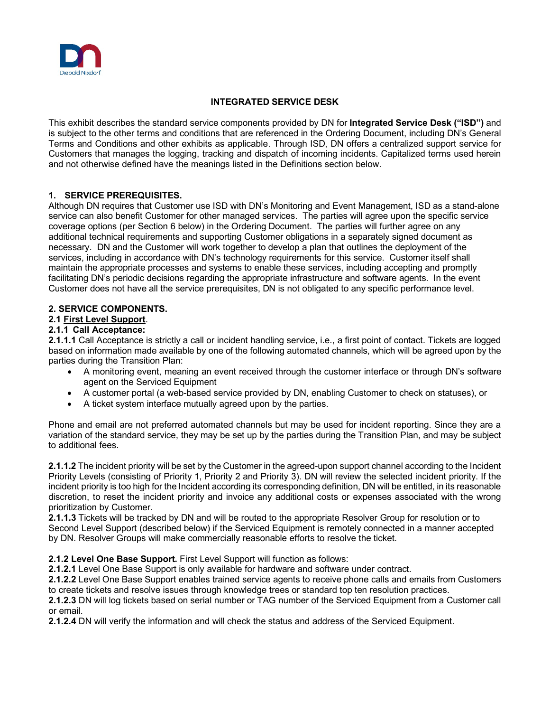

# **INTEGRATED SERVICE DESK**

This exhibit describes the standard service components provided by DN for **Integrated Service Desk ("ISD")** and is subject to the other terms and conditions that are referenced in the Ordering Document, including DN's General Terms and Conditions and other exhibits as applicable. Through ISD, DN offers a centralized support service for Customers that manages the logging, tracking and dispatch of incoming incidents. Capitalized terms used herein and not otherwise defined have the meanings listed in the Definitions section below.

# **1. SERVICE PREREQUISITES.**

Although DN requires that Customer use ISD with DN's Monitoring and Event Management, ISD as a stand-alone service can also benefit Customer for other managed services. The parties will agree upon the specific service coverage options (per Section 6 below) in the Ordering Document. The parties will further agree on any additional technical requirements and supporting Customer obligations in a separately signed document as necessary. DN and the Customer will work together to develop a plan that outlines the deployment of the services, including in accordance with DN's technology requirements for this service. Customer itself shall maintain the appropriate processes and systems to enable these services, including accepting and promptly facilitating DN's periodic decisions regarding the appropriate infrastructure and software agents. In the event Customer does not have all the service prerequisites, DN is not obligated to any specific performance level.

## **2. SERVICE COMPONENTS.**

# **2.1 First Level Support**.

### **2.1.1 Call Acceptance:**

**2.1.1.1** Call Acceptance is strictly a call or incident handling service, i.e., a first point of contact. Tickets are logged based on information made available by one of the following automated channels, which will be agreed upon by the parties during the Transition Plan:

- A monitoring event, meaning an event received through the customer interface or through DN's software agent on the Serviced Equipment
- A customer portal (a web-based service provided by DN, enabling Customer to check on statuses), or
- A ticket system interface mutually agreed upon by the parties.

Phone and email are not preferred automated channels but may be used for incident reporting. Since they are a variation of the standard service, they may be set up by the parties during the Transition Plan, and may be subject to additional fees.

**2.1.1.2** The incident priority will be set by the Customer in the agreed-upon support channel according to the Incident Priority Levels (consisting of Priority 1, Priority 2 and Priority 3). DN will review the selected incident priority. If the incident priority is too high for the Incident according its corresponding definition, DN will be entitled, in its reasonable discretion, to reset the incident priority and invoice any additional costs or expenses associated with the wrong prioritization by Customer.

**2.1.1.3** Tickets will be tracked by DN and will be routed to the appropriate Resolver Group for resolution or to Second Level Support (described below) if the Serviced Equipment is remotely connected in a manner accepted by DN. Resolver Groups will make commercially reasonable efforts to resolve the ticket.

**2.1.2 Level One Base Support.** First Level Support will function as follows:

**2.1.2.1** Level One Base Support is only available for hardware and software under contract.

**2.1.2.2** Level One Base Support enables trained service agents to receive phone calls and emails from Customers to create tickets and resolve issues through knowledge trees or standard top ten resolution practices.

**2.1.2.3** DN will log tickets based on serial number or TAG number of the Serviced Equipment from a Customer call or email.

**2.1.2.4** DN will verify the information and will check the status and address of the Serviced Equipment.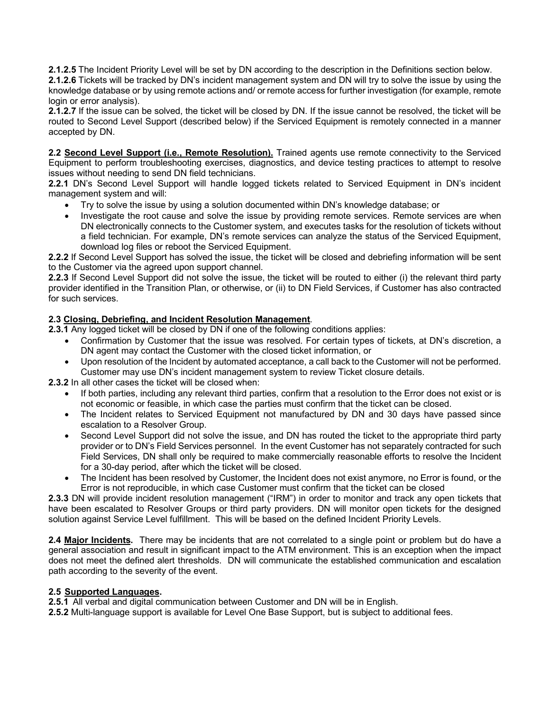**2.1.2.5** The Incident Priority Level will be set by DN according to the description in the Definitions section below.

**2.1.2.6** Tickets will be tracked by DN's incident management system and DN will try to solve the issue by using the knowledge database or by using remote actions and/ or remote access for further investigation (for example, remote login or error analysis).

**2.1.2.7** If the issue can be solved, the ticket will be closed by DN. If the issue cannot be resolved, the ticket will be routed to Second Level Support (described below) if the Serviced Equipment is remotely connected in a manner accepted by DN.

**2.2 Second Level Support (i.e., Remote Resolution).** Trained agents use remote connectivity to the Serviced Equipment to perform troubleshooting exercises, diagnostics, and device testing practices to attempt to resolve issues without needing to send DN field technicians.

**2.2.1** DN's Second Level Support will handle logged tickets related to Serviced Equipment in DN's incident management system and will:

- Try to solve the issue by using a solution documented within DN's knowledge database; or
- Investigate the root cause and solve the issue by providing remote services. Remote services are when DN electronically connects to the Customer system, and executes tasks for the resolution of tickets without a field technician. For example, DN's remote services can analyze the status of the Serviced Equipment, download log files or reboot the Serviced Equipment.

**2.2.2** If Second Level Support has solved the issue, the ticket will be closed and debriefing information will be sent to the Customer via the agreed upon support channel.

**2.2.3** If Second Level Support did not solve the issue, the ticket will be routed to either (i) the relevant third party provider identified in the Transition Plan, or otherwise, or (ii) to DN Field Services, if Customer has also contracted for such services.

## **2.3 Closing, Debriefing, and Incident Resolution Management**.

**2.3.1** Any logged ticket will be closed by DN if one of the following conditions applies:

- Confirmation by Customer that the issue was resolved. For certain types of tickets, at DN's discretion, a DN agent may contact the Customer with the closed ticket information, or
- Upon resolution of the Incident by automated acceptance, a call back to the Customer will not be performed. Customer may use DN's incident management system to review Ticket closure details.

**2.3.2** In all other cases the ticket will be closed when:

- If both parties, including any relevant third parties, confirm that a resolution to the Error does not exist or is not economic or feasible, in which case the parties must confirm that the ticket can be closed.
- The Incident relates to Serviced Equipment not manufactured by DN and 30 days have passed since escalation to a Resolver Group.
- Second Level Support did not solve the issue, and DN has routed the ticket to the appropriate third party provider or to DN's Field Services personnel. In the event Customer has not separately contracted for such Field Services, DN shall only be required to make commercially reasonable efforts to resolve the Incident for a 30-day period, after which the ticket will be closed.
- The Incident has been resolved by Customer, the Incident does not exist anymore, no Error is found, or the Error is not reproducible, in which case Customer must confirm that the ticket can be closed

**2.3.3** DN will provide incident resolution management ("IRM") in order to monitor and track any open tickets that have been escalated to Resolver Groups or third party providers. DN will monitor open tickets for the designed solution against Service Level fulfillment. This will be based on the defined Incident Priority Levels.

**2.4 Major Incidents.** There may be incidents that are not correlated to a single point or problem but do have a general association and result in significant impact to the ATM environment. This is an exception when the impact does not meet the defined alert thresholds. DN will communicate the established communication and escalation path according to the severity of the event.

## **2.5 Supported Languages.**

**2.5.1** All verbal and digital communication between Customer and DN will be in English.

**2.5.2** Multi-language support is available for Level One Base Support, but is subject to additional fees.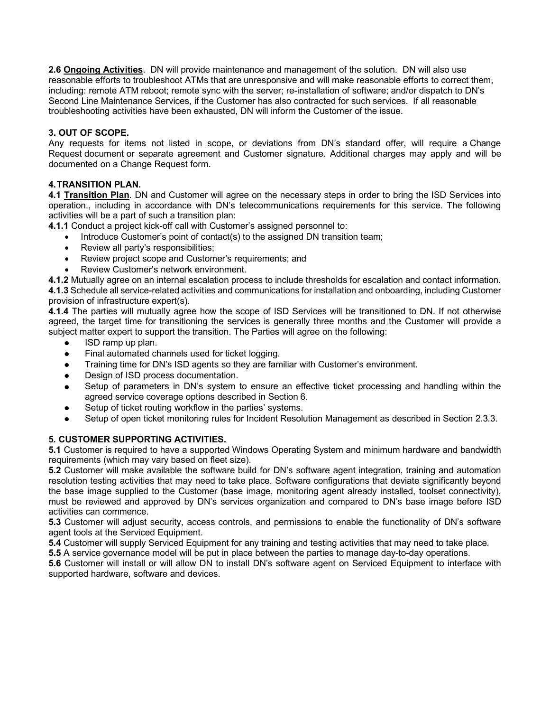**2.6 Ongoing Activities**. DN will provide maintenance and management of the solution. DN will also use reasonable efforts to troubleshoot ATMs that are unresponsive and will make reasonable efforts to correct them, including: remote ATM reboot; remote sync with the server; re-installation of software; and/or dispatch to DN's Second Line Maintenance Services, if the Customer has also contracted for such services. If all reasonable troubleshooting activities have been exhausted, DN will inform the Customer of the issue.

# **3. OUT OF SCOPE.**

Any requests for items not listed in scope, or deviations from DN's standard offer, will require a Change Request document or separate agreement and Customer signature. Additional charges may apply and will be documented on a Change Request form.

# **4.TRANSITION PLAN.**

**4.1 Transition Plan**. DN and Customer will agree on the necessary steps in order to bring the ISD Services into operation., including in accordance with DN's telecommunications requirements for this service. The following activities will be a part of such a transition plan:

**4.1.1** Conduct a project kick-off call with Customer's assigned personnel to:

- Introduce Customer's point of contact(s) to the assigned DN transition team;
- Review all party's responsibilities;
- Review project scope and Customer's requirements; and
- Review Customer's network environment.

**4.1.2** Mutually agree on an internal escalation process to include thresholds for escalation and contact information. **4.1.3** Schedule all service-related activities and communications for installation and onboarding, including Customer provision of infrastructure expert(s).

**4.1.4** The parties will mutually agree how the scope of ISD Services will be transitioned to DN. If not otherwise agreed, the target time for transitioning the services is generally three months and the Customer will provide a subject matter expert to support the transition. The Parties will agree on the following:

- ISD ramp up plan.  $\bullet$
- Final automated channels used for ticket logging.  $\bullet$
- Training time for DN's ISD agents so they are familiar with Customer's environment.
- Design of ISD process documentation.
- Setup of parameters in DN's system to ensure an effective ticket processing and handling within the agreed service coverage options described in Section 6.
- Setup of ticket routing workflow in the parties' systems.
- Setup of open ticket monitoring rules for Incident Resolution Management as described in Section 2.3.3.

## **5. CUSTOMER SUPPORTING ACTIVITIES.**

**5.1** Customer is required to have a supported Windows Operating System and minimum hardware and bandwidth requirements (which may vary based on fleet size).

**5.2** Customer will make available the software build for DN's software agent integration, training and automation resolution testing activities that may need to take place. Software configurations that deviate significantly beyond the base image supplied to the Customer (base image, monitoring agent already installed, toolset connectivity), must be reviewed and approved by DN's services organization and compared to DN's base image before ISD activities can commence.

**5.3** Customer will adjust security, access controls, and permissions to enable the functionality of DN's software agent tools at the Serviced Equipment.

**5.4** Customer will supply Serviced Equipment for any training and testing activities that may need to take place.

**5.5** A service governance model will be put in place between the parties to manage day-to-day operations.

**5.6** Customer will install or will allow DN to install DN's software agent on Serviced Equipment to interface with supported hardware, software and devices.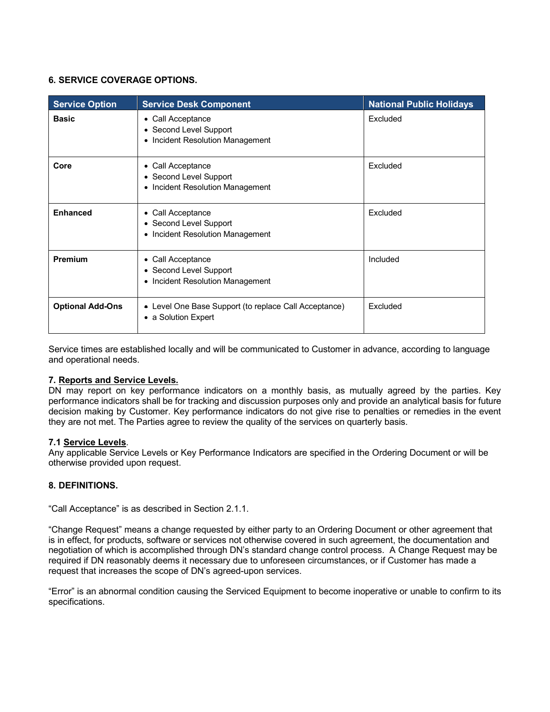## **6. SERVICE COVERAGE OPTIONS.**

| <b>Service Option</b>   | <b>Service Desk Component</b>                                                   | <b>National Public Holidays</b> |
|-------------------------|---------------------------------------------------------------------------------|---------------------------------|
| <b>Basic</b>            | • Call Acceptance<br>• Second Level Support<br>• Incident Resolution Management | Excluded                        |
| Core                    | • Call Acceptance<br>• Second Level Support<br>• Incident Resolution Management | Excluded                        |
| <b>Enhanced</b>         | • Call Acceptance<br>• Second Level Support<br>• Incident Resolution Management | Excluded                        |
| Premium                 | • Call Acceptance<br>• Second Level Support<br>• Incident Resolution Management | Included                        |
| <b>Optional Add-Ons</b> | • Level One Base Support (to replace Call Acceptance)<br>• a Solution Expert    | Excluded                        |

Service times are established locally and will be communicated to Customer in advance, according to language and operational needs.

### **7. Reports and Service Levels.**

DN may report on key performance indicators on a monthly basis, as mutually agreed by the parties. Key performance indicators shall be for tracking and discussion purposes only and provide an analytical basis for future decision making by Customer. Key performance indicators do not give rise to penalties or remedies in the event they are not met. The Parties agree to review the quality of the services on quarterly basis.

### **7.1 Service Levels**.

Any applicable Service Levels or Key Performance Indicators are specified in the Ordering Document or will be otherwise provided upon request.

## **8. DEFINITIONS.**

"Call Acceptance" is as described in Section 2.1.1.

"Change Request" means a change requested by either party to an Ordering Document or other agreement that is in effect, for products, software or services not otherwise covered in such agreement, the documentation and negotiation of which is accomplished through DN's standard change control process. A Change Request may be required if DN reasonably deems it necessary due to unforeseen circumstances, or if Customer has made a request that increases the scope of DN's agreed-upon services.

"Error" is an abnormal condition causing the Serviced Equipment to become inoperative or unable to confirm to its specifications.